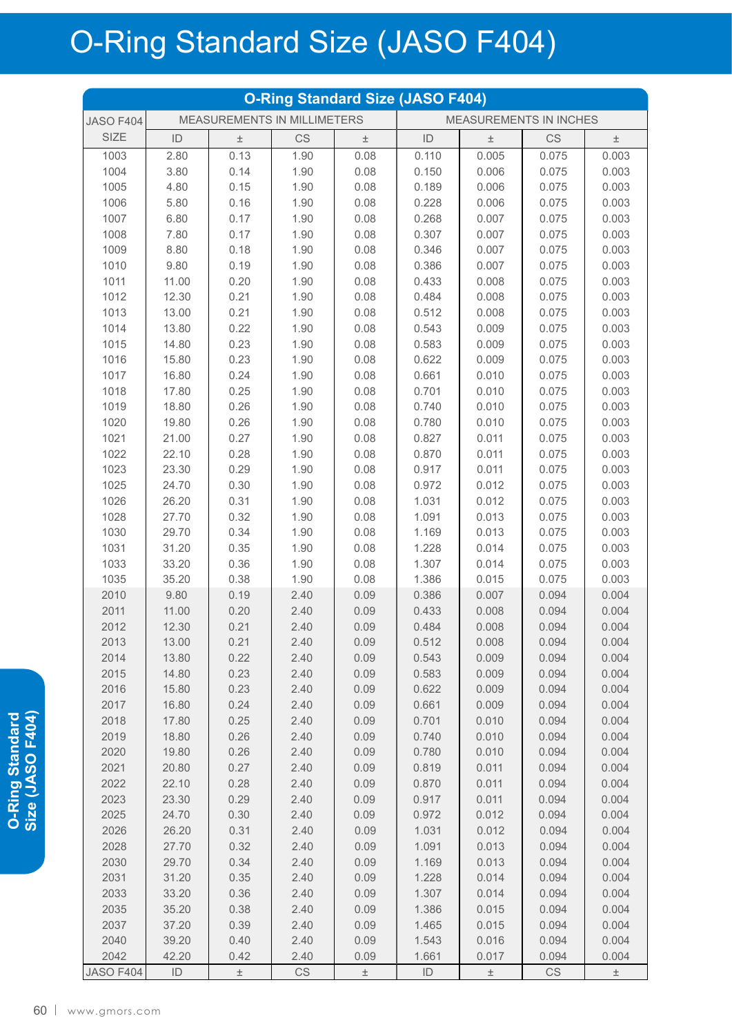## O-Ring Standard Size (JASO F404)

| <b>O-Ring Standard Size (JASO F404)</b> |               |                             |              |              |                        |                |                |                |  |  |
|-----------------------------------------|---------------|-----------------------------|--------------|--------------|------------------------|----------------|----------------|----------------|--|--|
| <b>JASO F404</b>                        |               | MEASUREMENTS IN MILLIMETERS |              |              | MEASUREMENTS IN INCHES |                |                |                |  |  |
| <b>SIZE</b>                             | ID            | 土                           | <b>CS</b>    | $\pm$        | ID                     | $\pm$          | CS             | $\pm$          |  |  |
| 1003                                    | 2.80          | 0.13                        | 1.90         | 0.08         | 0.110                  | 0.005          | 0.075          | 0.003          |  |  |
| 1004                                    | 3.80          | 0.14                        | 1.90         | 0.08         | 0.150                  | 0.006          | 0.075          | 0.003          |  |  |
| 1005                                    | 4.80          | 0.15                        | 1.90         | 0.08         | 0.189                  | 0.006          | 0.075          | 0.003          |  |  |
| 1006                                    | 5.80          | 0.16                        | 1.90         | 0.08         | 0.228                  | 0.006          | 0.075          | 0.003          |  |  |
| 1007                                    | 6.80          | 0.17                        | 1.90         | 0.08         | 0.268                  | 0.007          | 0.075          | 0.003          |  |  |
| 1008                                    | 7.80          | 0.17                        | 1.90         | 0.08         | 0.307                  | 0.007          | 0.075          | 0.003          |  |  |
| 1009                                    | 8.80          | 0.18                        | 1.90         | 0.08         | 0.346                  | 0.007          | 0.075          | 0.003          |  |  |
| 1010                                    | 9.80          | 0.19                        | 1.90         | 0.08         | 0.386                  | 0.007          | 0.075          | 0.003          |  |  |
| 1011                                    | 11.00         | 0.20                        | 1.90         | 0.08         | 0.433                  | 0.008          | 0.075          | 0.003          |  |  |
| 1012                                    | 12.30         | 0.21                        | 1.90         | 0.08         | 0.484                  | 0.008          | 0.075          | 0.003          |  |  |
| 1013                                    | 13.00         | 0.21                        | 1.90         | 0.08         | 0.512                  | 0.008          | 0.075          | 0.003          |  |  |
| 1014                                    | 13.80         | 0.22                        | 1.90         | 0.08         | 0.543                  | 0.009          | 0.075          | 0.003          |  |  |
| 1015                                    | 14.80         | 0.23                        | 1.90         | 0.08         | 0.583                  | 0.009          | 0.075          | 0.003          |  |  |
| 1016                                    | 15.80         | 0.23                        | 1.90         | 0.08         | 0.622                  | 0.009          | 0.075          | 0.003          |  |  |
| 1017                                    | 16.80         | 0.24                        | 1.90         | 0.08         | 0.661                  | 0.010          | 0.075          | 0.003          |  |  |
| 1018                                    | 17.80         | 0.25                        | 1.90         | 0.08         | 0.701                  | 0.010          | 0.075          | 0.003          |  |  |
| 1019                                    | 18.80         | 0.26                        | 1.90         | 0.08         | 0.740                  | 0.010          | 0.075          | 0.003          |  |  |
| 1020                                    | 19.80         | 0.26                        | 1.90         | 0.08         | 0.780                  | 0.010          | 0.075          | 0.003          |  |  |
| 1021                                    | 21.00         | 0.27                        | 1.90         | 0.08         | 0.827                  | 0.011          | 0.075          | 0.003          |  |  |
| 1022                                    | 22.10         | 0.28                        | 1.90         | 0.08         | 0.870                  | 0.011          | 0.075          | 0.003          |  |  |
| 1023                                    | 23.30         | 0.29                        | 1.90         | 0.08         | 0.917                  | 0.011          | 0.075          | 0.003          |  |  |
| 1025                                    | 24.70         | 0.30                        | 1.90         | 0.08         | 0.972                  | 0.012          | 0.075          | 0.003          |  |  |
| 1026                                    | 26.20         | 0.31                        | 1.90         | 0.08         | 1.031                  | 0.012          | 0.075          | 0.003          |  |  |
| 1028                                    | 27.70         | 0.32                        | 1.90         | 0.08         | 1.091                  | 0.013          | 0.075          | 0.003          |  |  |
| 1030                                    | 29.70         | 0.34                        | 1.90         | 0.08         | 1.169                  | 0.013          | 0.075          | 0.003          |  |  |
| 1031                                    | 31.20         | 0.35                        | 1.90         | 0.08         | 1.228                  | 0.014          | 0.075          | 0.003          |  |  |
| 1033                                    | 33.20         | 0.36                        | 1.90<br>1.90 | 0.08         | 1.307                  | 0.014          | 0.075          | 0.003          |  |  |
| 1035<br>2010                            | 35.20<br>9.80 | 0.38<br>0.19                | 2.40         | 0.08<br>0.09 | 1.386<br>0.386         | 0.015<br>0.007 | 0.075<br>0.094 | 0.003<br>0.004 |  |  |
| 2011                                    | 11.00         | 0.20                        | 2.40         | 0.09         | 0.433                  | 0.008          | 0.094          | 0.004          |  |  |
| 2012                                    | 12.30         | 0.21                        | 2.40         | 0.09         | 0.484                  | 0.008          | 0.094          | 0.004          |  |  |
| 2013                                    | 13.00         | 0.21                        | 2.40         | 0.09         | 0.512                  | 0.008          | 0.094          | 0.004          |  |  |
| 2014                                    | 13.80         | 0.22                        | 2.40         | 0.09         | 0.543                  | 0.009          | 0.094          | 0.004          |  |  |
| 2015                                    | 14.80         | 0.23                        | 2.40         | 0.09         | 0.583                  | 0.009          | 0.094          | 0.004          |  |  |
| 2016                                    | 15.80         | 0.23                        | 2.40         | 0.09         | 0.622                  | 0.009          | 0.094          | 0.004          |  |  |
| 2017                                    | 16.80         | 0.24                        | 2.40         | 0.09         | 0.661                  | 0.009          | 0.094          | 0.004          |  |  |
| 2018                                    | 17.80         | 0.25                        | 2.40         | 0.09         | 0.701                  | 0.010          | 0.094          | 0.004          |  |  |
| 2019                                    | 18.80         | 0.26                        | 2.40         | 0.09         | 0.740                  | 0.010          | 0.094          | 0.004          |  |  |
| 2020                                    | 19.80         | 0.26                        | 2.40         | 0.09         | 0.780                  | 0.010          | 0.094          | 0.004          |  |  |
| 2021                                    | 20.80         | 0.27                        | 2.40         | 0.09         | 0.819                  | 0.011          | 0.094          | 0.004          |  |  |
| 2022                                    | 22.10         | 0.28                        | 2.40         | 0.09         | 0.870                  | 0.011          | 0.094          | 0.004          |  |  |
| 2023                                    | 23.30         | 0.29                        | 2.40         | 0.09         | 0.917                  | 0.011          | 0.094          | 0.004          |  |  |
| 2025                                    | 24.70         | 0.30                        | 2.40         | 0.09         | 0.972                  | 0.012          | 0.094          | 0.004          |  |  |
| 2026                                    | 26.20         | 0.31                        | 2.40         | 0.09         | 1.031                  | 0.012          | 0.094          | 0.004          |  |  |
| 2028                                    | 27.70         | 0.32                        | 2.40         | 0.09         | 1.091                  | 0.013          | 0.094          | 0.004          |  |  |
| 2030                                    | 29.70         | 0.34                        | 2.40         | 0.09         | 1.169                  | 0.013          | 0.094          | 0.004          |  |  |
| 2031                                    | 31.20         | 0.35                        | 2.40         | 0.09         | 1.228                  | 0.014          | 0.094          | 0.004          |  |  |
| 2033                                    | 33.20         | 0.36                        | 2.40         | 0.09         | 1.307                  | 0.014          | 0.094          | 0.004          |  |  |
| 2035                                    | 35.20         | 0.38                        | 2.40         | 0.09         | 1.386                  | 0.015          | 0.094          | 0.004          |  |  |
| 2037                                    | 37.20         | 0.39                        | 2.40         | 0.09         | 1.465                  | 0.015          | 0.094          | 0.004          |  |  |
| 2040                                    | 39.20         | 0.40                        | 2.40         | 0.09         | 1.543                  | 0.016          | 0.094          | 0.004          |  |  |
| 2042                                    | 42.20         | 0.42                        | 2.40         | 0.09         | 1.661                  | 0.017          | 0.094          | 0.004          |  |  |
| <b>JASO F404</b>                        | ID            | $\pm$                       | CS           | $\pm$        | ID                     | $\pm$          | CS             | $\pm$          |  |  |